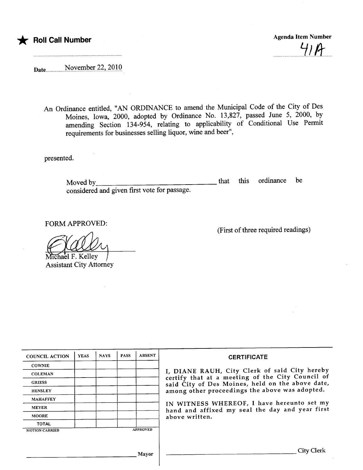\* Roll Call Number Agenda Item Number Agenda Item Number

 $41A$ 

Date .................-NQy~.IP1?~r7.7.'-.7.QJ.Q

An Ordinance entitled, "AN ORDINANCE to amend the Muncipal Code of the City of Des Moines, Iowa, 2000, adopted by Ordinance No. 13,827, passed June 5, 2000, by amending Section 134-954, relating to applicabilty of Conditional Use Permit requirements for businesses selling liquor, wine and beer",

presented.

Moved by considered and given first vote for passage. that this ordinance be

FORM APPROVED:

Michael F. Kelley

Assistant City Attorney

(First of thee required readings)

| <b>YEAS</b> | <b>NAYS</b> | <b>PASS</b> | <b>ABSENT</b> | <b>CERTIFICATE</b>                                                                                                                                                                                                                                                                                                         |
|-------------|-------------|-------------|---------------|----------------------------------------------------------------------------------------------------------------------------------------------------------------------------------------------------------------------------------------------------------------------------------------------------------------------------|
|             |             |             |               | I, DIANE RAUH, City Clerk of said City hereby<br>certify that at a meeting of the City Council of<br>said City of Des Moines, held on the above date,<br>among other proceedings the above was adopted.<br>IN WITNESS WHEREOF, I have hereunto set my<br>hand and affixed my seal the day and year first<br>above written. |
|             |             |             |               |                                                                                                                                                                                                                                                                                                                            |
|             |             |             |               |                                                                                                                                                                                                                                                                                                                            |
|             |             |             |               |                                                                                                                                                                                                                                                                                                                            |
|             |             |             |               |                                                                                                                                                                                                                                                                                                                            |
|             |             |             |               |                                                                                                                                                                                                                                                                                                                            |
|             |             |             |               |                                                                                                                                                                                                                                                                                                                            |
|             |             |             |               |                                                                                                                                                                                                                                                                                                                            |
|             |             |             |               |                                                                                                                                                                                                                                                                                                                            |
|             |             |             |               | City Clerk                                                                                                                                                                                                                                                                                                                 |
|             |             |             |               | <b>APPROVED</b><br>Mayor                                                                                                                                                                                                                                                                                                   |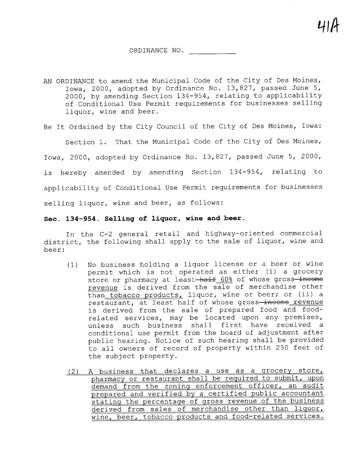## ORDINANCE NO.

AN ORDINANCE to amend the Municipal Code of the City of Des Moines, Iowa, 2000, adopted by Ordinance No. 13,827, passed June 5, 2000, by amending Section 134-954, relating to applicability of Conditional Use Permit requirements for businesses selling liquor, wine and beer.

Be It Ordained by the City Council of the City of Des Moines, Iowa:

Section 1. That the Municipal Code of the City of Des Moines, Iowa, 2000, adopted by Ordinance No. 13,827, passed June 5, 2000, is hereby amended by amending Section 134-954, relating to applicability of Conditional Use Permit requirements for businesses selling liquor, wine and beer, as follows:

## See. 134-954. Selling of liquor, wine and beer.

In the C-2 general retail and highway-oriented commercial district, the following shall apply to the sale of liquor, wine and beer:

- (1) No business holding a liquor license or a beer or wine permit which is not operated as either (i) a grocery store or pharmacy at least-half 60% of whose gross-income revenue is derived from the sale of merchandise other than tobacco products, liquor, wine or beer; or (ii) a restaurant, at least half of whose gross-income revenue is derived from the sale of prepared food and foodrelated services, may be located upon any premises, unless such business shall first have received a conditional use permit from the board of adjustment after public hearing. Notice of such hearing shall be provided to all owners of record of property within 250 feet of the subject property.
- (2) A business that declares a use as a qrocery store, pharmacy or restaurant shall be required to submit, upon demand from the zoning enforcement officer, an audit prepared and verified by a certified public accountant stating the percentage of gross revenue of the business derived from sales of merchandise other than liquor, wine, beer, tobacco products and food-related services.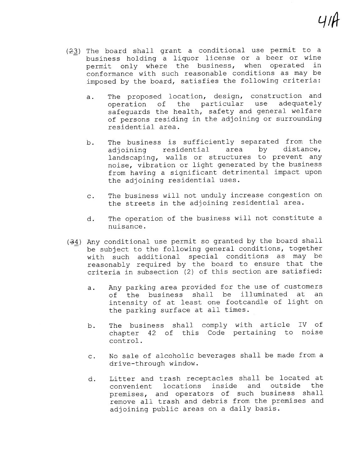- $(23)$  The board shall grant a conditional use permit to a business holding a liquor license or a beer or wine permit only where the business, when operated in conformance with such reasonable conditions as may be imposed by the board, satisfies the following criteria:
	- a. The proposed location, design, construction and<br>operation of the particular use adequately operation of the particular safeguards the health, safety and general welfare of persons residing in the adjoining or surrounding residential area.
	- b. The business is sufficiently separated from the<br>adioining residential area by distance, adjoining residential landscaping, walls or structures to prevent any noise, vibration or light generated by the business from having a significant detrimental impact upon the adjoining residential uses.
	- c. The business will not unduly increase congestion on the streets in the adjoining residential area.
	- d. The operation of the business will not constitute a nuisance.
- $(34)$  Any conditional use permit so granted by the board shall be subject to the following general conditions, together with such additional special conditions as may be reasonably required by the board to ensure that the criteria in subsection (2) of this section are satisfied:
	- a. Any parking area provided for the use of customers<br>of the business shall be illuminated at an of the business shall be illuminated at an<br>intensity of at least one footcandle of light on the parking surface at all times.
	- b. The business shall comply with article IV of<br>chapter 42 of this Code pertaining to noise control. n.<br>Code pertaining to noise
	- c. No sale of alcoholic beverages shall be made from a drive-through window.
	- d. Litter and trash receptacles shall be located at<br>convenient locations inside and outside the premises, and operators of such business shall remove all trash and debris from the premises and adjoining public areas on a daily basis.